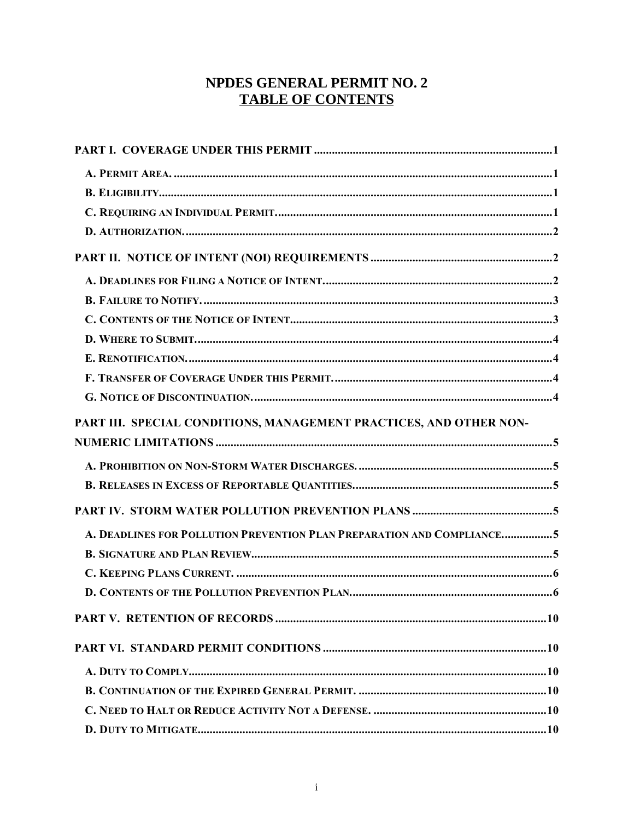# NPDES GENERAL PERMIT NO. 2 **TABLE OF CONTENTS**

| PART III. SPECIAL CONDITIONS, MANAGEMENT PRACTICES, AND OTHER NON-     |
|------------------------------------------------------------------------|
|                                                                        |
|                                                                        |
|                                                                        |
|                                                                        |
| A. DEADLINES FOR POLLUTION PREVENTION PLAN PREPARATION AND COMPLIANCE5 |
|                                                                        |
|                                                                        |
|                                                                        |
|                                                                        |
|                                                                        |
|                                                                        |
|                                                                        |
|                                                                        |
|                                                                        |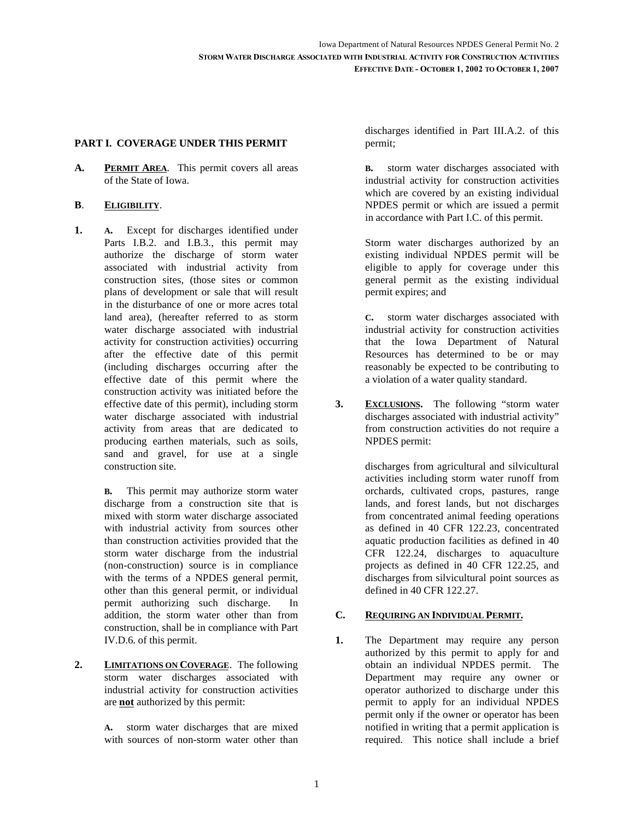#### **PART I. COVERAGE UNDER THIS PERMIT**

**A. PERMIT AREA**. This permit covers all areas of the State of Iowa.

#### **B**. **ELIGIBILITY**.

**1. A.** Except for discharges identified under Parts I.B.2. and I.B.3., this permit may authorize the discharge of storm water associated with industrial activity from construction sites, (those sites or common plans of development or sale that will result in the disturbance of one or more acres total land area), (hereafter referred to as storm water discharge associated with industrial activity for construction activities) occurring after the effective date of this permit (including discharges occurring after the effective date of this permit where the construction activity was initiated before the effective date of this permit), including storm water discharge associated with industrial activity from areas that are dedicated to producing earthen materials, such as soils, sand and gravel, for use at a single construction site.

> **B.** This permit may authorize storm water discharge from a construction site that is mixed with storm water discharge associated with industrial activity from sources other than construction activities provided that the storm water discharge from the industrial (non-construction) source is in compliance with the terms of a NPDES general permit, other than this general permit, or individual permit authorizing such discharge. In addition, the storm water other than from construction, shall be in compliance with Part IV.D.6. of this permit.

**2. LIMITATIONS ON COVERAGE**. The following storm water discharges associated with industrial activity for construction activities are **not** authorized by this permit:

> **A.** storm water discharges that are mixed with sources of non-storm water other than

discharges identified in Part III.A.2. of this permit;

**B.** storm water discharges associated with industrial activity for construction activities which are covered by an existing individual NPDES permit or which are issued a permit in accordance with Part I.C. of this permit.

Storm water discharges authorized by an existing individual NPDES permit will be eligible to apply for coverage under this general permit as the existing individual permit expires; and

**C.** storm water discharges associated with industrial activity for construction activities that the Iowa Department of Natural Resources has determined to be or may reasonably be expected to be contributing to a violation of a water quality standard.

**3. EXCLUSIONS.** The following "storm water discharges associated with industrial activity" from construction activities do not require a NPDES permit:

> discharges from agricultural and silvicultural activities including storm water runoff from orchards, cultivated crops, pastures, range lands, and forest lands, but not discharges from concentrated animal feeding operations as defined in 40 CFR 122.23, concentrated aquatic production facilities as defined in 40 CFR 122.24, discharges to aquaculture projects as defined in 40 CFR 122.25, and discharges from silvicultural point sources as defined in 40 CFR 122.27.

#### **C. REQUIRING AN INDIVIDUAL PERMIT.**

**1.** The Department may require any person authorized by this permit to apply for and obtain an individual NPDES permit. The Department may require any owner or operator authorized to discharge under this permit to apply for an individual NPDES permit only if the owner or operator has been notified in writing that a permit application is required. This notice shall include a brief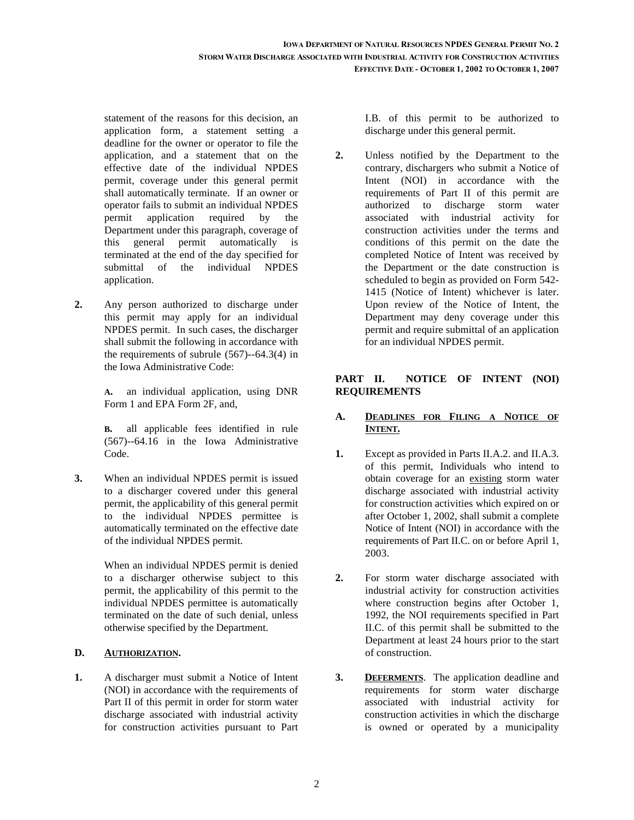statement of the reasons for this decision, an application form, a statement setting a deadline for the owner or operator to file the application, and a statement that on the effective date of the individual NPDES permit, coverage under this general permit shall automatically terminate. If an owner or operator fails to submit an individual NPDES permit application required by the Department under this paragraph, coverage of this general permit automatically is terminated at the end of the day specified for submittal of the individual NPDES application.

**2.** Any person authorized to discharge under this permit may apply for an individual NPDES permit. In such cases, the discharger shall submit the following in accordance with the requirements of subrule (567)--64.3(4) in the Iowa Administrative Code:

> **A.** an individual application, using DNR Form 1 and EPA Form 2F, and,

> **B.** all applicable fees identified in rule (567)--64.16 in the Iowa Administrative Code.

**3.** When an individual NPDES permit is issued to a discharger covered under this general permit, the applicability of this general permit to the individual NPDES permittee is automatically terminated on the effective date of the individual NPDES permit.

> When an individual NPDES permit is denied to a discharger otherwise subject to this permit, the applicability of this permit to the individual NPDES permittee is automatically terminated on the date of such denial, unless otherwise specified by the Department.

#### **D. AUTHORIZATION.**

**1.** A discharger must submit a Notice of Intent (NOI) in accordance with the requirements of Part II of this permit in order for storm water discharge associated with industrial activity for construction activities pursuant to Part

I.B. of this permit to be authorized to discharge under this general permit.

**2.** Unless notified by the Department to the contrary, dischargers who submit a Notice of Intent (NOI) in accordance with the requirements of Part II of this permit are authorized to discharge storm water associated with industrial activity for construction activities under the terms and conditions of this permit on the date the completed Notice of Intent was received by the Department or the date construction is scheduled to begin as provided on Form 542- 1415 (Notice of Intent) whichever is later. Upon review of the Notice of Intent, the Department may deny coverage under this permit and require submittal of an application for an individual NPDES permit.

#### **PART II. NOTICE OF INTENT (NOI) REQUIREMENTS**

- **A. DEADLINES FOR FILING A NOTICE OF INTENT.**
- **1.** Except as provided in Parts II.A.2. and II.A.3. of this permit, Individuals who intend to obtain coverage for an existing storm water discharge associated with industrial activity for construction activities which expired on or after October 1, 2002, shall submit a complete Notice of Intent (NOI) in accordance with the requirements of Part II.C. on or before April 1, 2003.
- **2.** For storm water discharge associated with industrial activity for construction activities where construction begins after October 1, 1992, the NOI requirements specified in Part II.C. of this permit shall be submitted to the Department at least 24 hours prior to the start of construction.
- **3. DEFERMENTS**. The application deadline and requirements for storm water discharge associated with industrial activity for construction activities in which the discharge is owned or operated by a municipality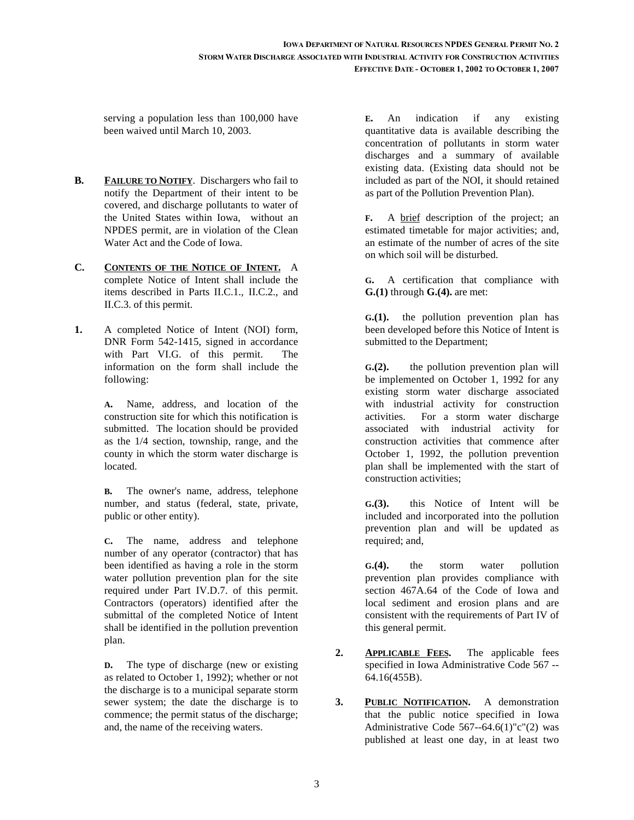serving a population less than 100,000 have been waived until March 10, 2003.

- **B. FAILURE TO NOTIFY**. Dischargers who fail to notify the Department of their intent to be covered, and discharge pollutants to water of the United States within Iowa, without an NPDES permit, are in violation of the Clean Water Act and the Code of Iowa.
- **C. CONTENTS OF THE NOTICE OF INTENT.** A complete Notice of Intent shall include the items described in Parts II.C.1., II.C.2., and II.C.3. of this permit.
- **1.** A completed Notice of Intent (NOI) form, DNR Form 542-1415, signed in accordance with Part VI.G. of this permit. The information on the form shall include the following:

**A.** Name, address, and location of the construction site for which this notification is submitted. The location should be provided as the 1/4 section, township, range, and the county in which the storm water discharge is located.

**B.** The owner's name, address, telephone number, and status (federal, state, private, public or other entity).

**C.** The name, address and telephone number of any operator (contractor) that has been identified as having a role in the storm water pollution prevention plan for the site required under Part IV.D.7. of this permit. Contractors (operators) identified after the submittal of the completed Notice of Intent shall be identified in the pollution prevention plan.

**D.** The type of discharge (new or existing as related to October 1, 1992); whether or not the discharge is to a municipal separate storm sewer system; the date the discharge is to commence; the permit status of the discharge; and, the name of the receiving waters.

**E.** An indication if any existing quantitative data is available describing the concentration of pollutants in storm water discharges and a summary of available existing data. (Existing data should not be included as part of the NOI, it should retained as part of the Pollution Prevention Plan).

**F.** A brief description of the project; an estimated timetable for major activities; and, an estimate of the number of acres of the site on which soil will be disturbed.

**G.** A certification that compliance with **G.(1)** through **G.(4).** are met:

**G.(1).** the pollution prevention plan has been developed before this Notice of Intent is submitted to the Department;

**G.(2).** the pollution prevention plan will be implemented on October 1, 1992 for any existing storm water discharge associated with industrial activity for construction activities. For a storm water discharge associated with industrial activity for construction activities that commence after October 1, 1992, the pollution prevention plan shall be implemented with the start of construction activities;

**G.(3).** this Notice of Intent will be included and incorporated into the pollution prevention plan and will be updated as required; and,

**G.(4).** the storm water pollution prevention plan provides compliance with section 467A.64 of the Code of Iowa and local sediment and erosion plans and are consistent with the requirements of Part IV of this general permit.

- **2. APPLICABLE FEES.** The applicable fees specified in Iowa Administrative Code 567 -- 64.16(455B).
- **3. PUBLIC NOTIFICATION.** A demonstration that the public notice specified in Iowa Administrative Code  $567 - 64.6(1)$ "c"(2) was published at least one day, in at least two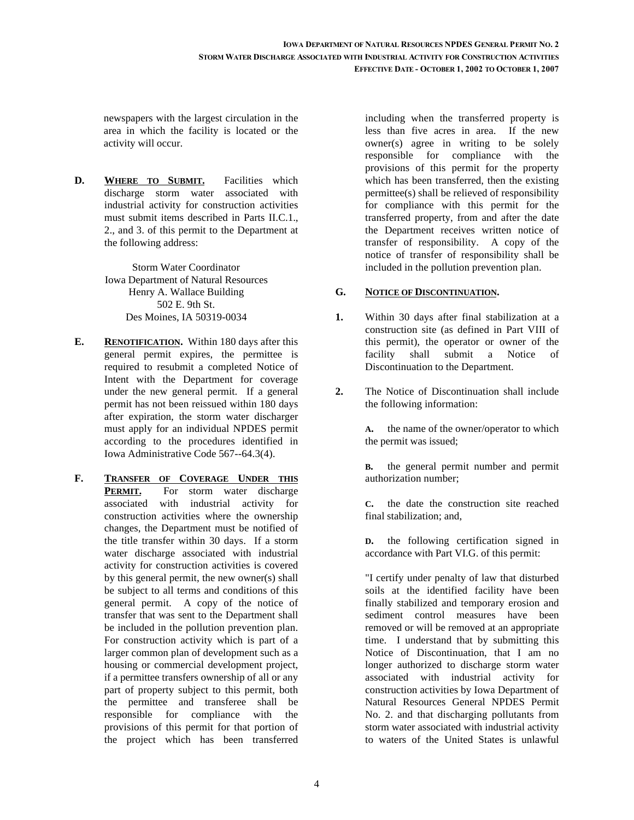newspapers with the largest circulation in the area in which the facility is located or the activity will occur.

**D. WHERE TO SUBMIT.** Facilities which discharge storm water associated with industrial activity for construction activities must submit items described in Parts II.C.1., 2., and 3. of this permit to the Department at the following address:

> Storm Water Coordinator Iowa Department of Natural Resources Henry A. Wallace Building 502 E. 9th St. Des Moines, IA 50319-0034

- **E. RENOTIFICATION.** Within 180 days after this general permit expires, the permittee is required to resubmit a completed Notice of Intent with the Department for coverage under the new general permit. If a general permit has not been reissued within 180 days after expiration, the storm water discharger must apply for an individual NPDES permit according to the procedures identified in Iowa Administrative Code 567--64.3(4).
- **F. TRANSFER OF COVERAGE UNDER THIS PERMIT.** For storm water discharge associated with industrial activity for construction activities where the ownership changes, the Department must be notified of the title transfer within 30 days. If a storm water discharge associated with industrial activity for construction activities is covered by this general permit, the new owner(s) shall be subject to all terms and conditions of this general permit. A copy of the notice of transfer that was sent to the Department shall be included in the pollution prevention plan. For construction activity which is part of a larger common plan of development such as a housing or commercial development project, if a permittee transfers ownership of all or any part of property subject to this permit, both the permittee and transferee shall be responsible for compliance with the provisions of this permit for that portion of the project which has been transferred

including when the transferred property is less than five acres in area. If the new owner(s) agree in writing to be solely responsible for compliance with the provisions of this permit for the property which has been transferred, then the existing permittee(s) shall be relieved of responsibility for compliance with this permit for the transferred property, from and after the date the Department receives written notice of transfer of responsibility. A copy of the notice of transfer of responsibility shall be included in the pollution prevention plan.

#### **G. NOTICE OF DISCONTINUATION.**

- **1.** Within 30 days after final stabilization at a construction site (as defined in Part VIII of this permit), the operator or owner of the facility shall submit a Notice of Discontinuation to the Department.
- **2.** The Notice of Discontinuation shall include the following information:
	- **A.** the name of the owner/operator to which the permit was issued;

**B.** the general permit number and permit authorization number;

**C.** the date the construction site reached final stabilization; and,

**D.** the following certification signed in accordance with Part VI.G. of this permit:

"I certify under penalty of law that disturbed soils at the identified facility have been finally stabilized and temporary erosion and sediment control measures have been removed or will be removed at an appropriate time. I understand that by submitting this Notice of Discontinuation, that I am no longer authorized to discharge storm water associated with industrial activity for construction activities by Iowa Department of Natural Resources General NPDES Permit No. 2. and that discharging pollutants from storm water associated with industrial activity to waters of the United States is unlawful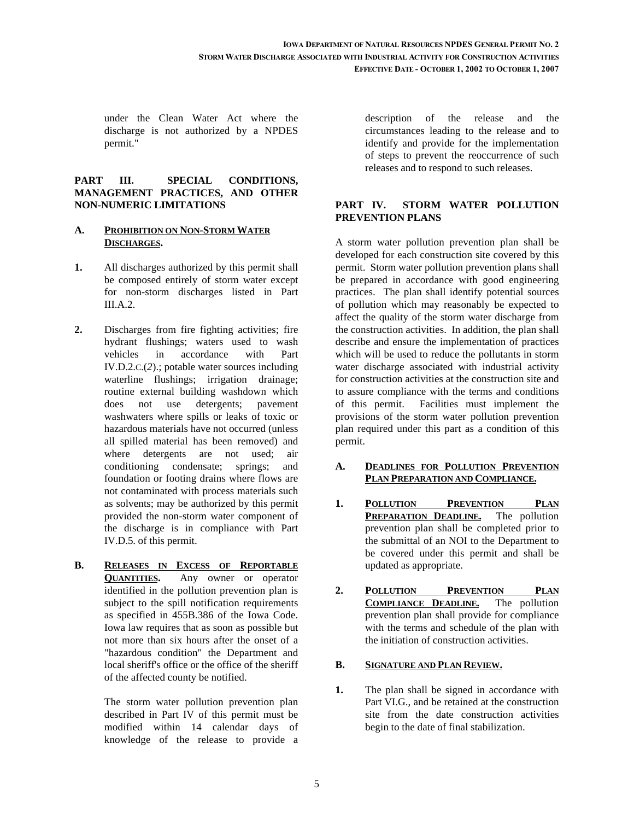under the Clean Water Act where the discharge is not authorized by a NPDES permit."

### **PART III. SPECIAL CONDITIONS, MANAGEMENT PRACTICES, AND OTHER NON-NUMERIC LIMITATIONS**

#### **A. PROHIBITION ON NON-STORM WATER DISCHARGES.**

- **1.** All discharges authorized by this permit shall be composed entirely of storm water except for non-storm discharges listed in Part  $III.A.2.$
- **2.** Discharges from fire fighting activities; fire hydrant flushings; waters used to wash vehicles in accordance with Part IV.D.2.C.(*2*).; potable water sources including waterline flushings; irrigation drainage; routine external building washdown which does not use detergents; pavement washwaters where spills or leaks of toxic or hazardous materials have not occurred (unless all spilled material has been removed) and where detergents are not used; air conditioning condensate; springs; and foundation or footing drains where flows are not contaminated with process materials such as solvents; may be authorized by this permit provided the non-storm water component of the discharge is in compliance with Part IV.D.5. of this permit.
- **B. RELEASES IN EXCESS OF REPORTABLE QUANTITIES.** Any owner or operator identified in the pollution prevention plan is subject to the spill notification requirements as specified in 455B.386 of the Iowa Code. Iowa law requires that as soon as possible but not more than six hours after the onset of a "hazardous condition" the Department and local sheriff's office or the office of the sheriff of the affected county be notified.

The storm water pollution prevention plan described in Part IV of this permit must be modified within 14 calendar days of knowledge of the release to provide a description of the release and the circumstances leading to the release and to identify and provide for the implementation of steps to prevent the reoccurrence of such releases and to respond to such releases.

#### **PART IV. STORM WATER POLLUTION PREVENTION PLANS**

A storm water pollution prevention plan shall be developed for each construction site covered by this permit. Storm water pollution prevention plans shall be prepared in accordance with good engineering practices. The plan shall identify potential sources of pollution which may reasonably be expected to affect the quality of the storm water discharge from the construction activities. In addition, the plan shall describe and ensure the implementation of practices which will be used to reduce the pollutants in storm water discharge associated with industrial activity for construction activities at the construction site and to assure compliance with the terms and conditions of this permit. Facilities must implement the provisions of the storm water pollution prevention plan required under this part as a condition of this permit.

#### **A. DEADLINES FOR POLLUTION PREVENTION PLAN PREPARATION AND COMPLIANCE.**

- **1. POLLUTION PREVENTION PLAN PREPARATION DEADLINE.** The pollution prevention plan shall be completed prior to the submittal of an NOI to the Department to be covered under this permit and shall be updated as appropriate.
- **2. POLLUTION PREVENTION PLAN COMPLIANCE DEADLINE.** The pollution prevention plan shall provide for compliance with the terms and schedule of the plan with the initiation of construction activities.

#### **B. SIGNATURE AND PLAN REVIEW.**

**1.** The plan shall be signed in accordance with Part VI.G., and be retained at the construction site from the date construction activities begin to the date of final stabilization.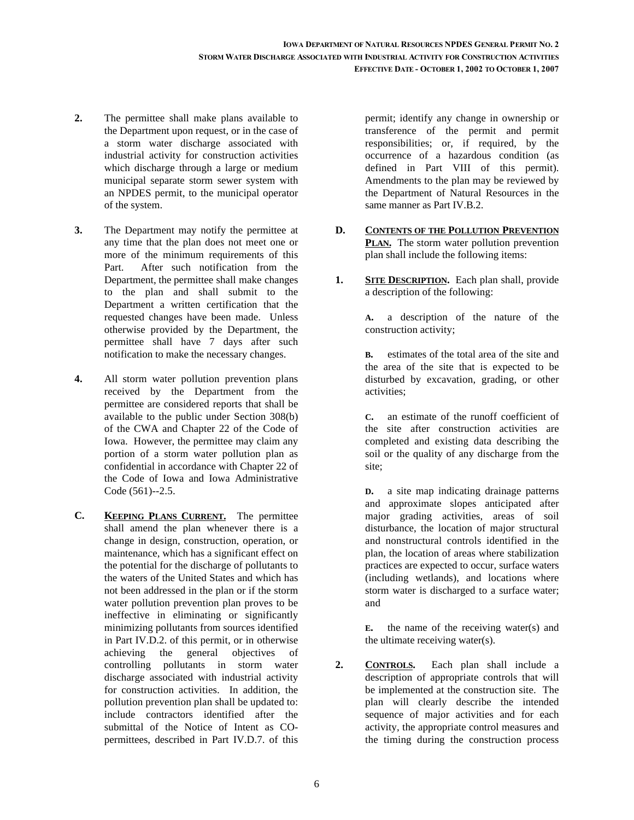- **2.** The permittee shall make plans available to the Department upon request, or in the case of a storm water discharge associated with industrial activity for construction activities which discharge through a large or medium municipal separate storm sewer system with an NPDES permit, to the municipal operator of the system.
- **3.** The Department may notify the permittee at any time that the plan does not meet one or more of the minimum requirements of this Part. After such notification from the Department, the permittee shall make changes to the plan and shall submit to the Department a written certification that the requested changes have been made. Unless otherwise provided by the Department, the permittee shall have 7 days after such notification to make the necessary changes.
- **4.** All storm water pollution prevention plans received by the Department from the permittee are considered reports that shall be available to the public under Section 308(b) of the CWA and Chapter 22 of the Code of Iowa. However, the permittee may claim any portion of a storm water pollution plan as confidential in accordance with Chapter 22 of the Code of Iowa and Iowa Administrative Code (561)--2.5.
- **C. KEEPING PLANS CURRENT.** The permittee shall amend the plan whenever there is a change in design, construction, operation, or maintenance, which has a significant effect on the potential for the discharge of pollutants to the waters of the United States and which has not been addressed in the plan or if the storm water pollution prevention plan proves to be ineffective in eliminating or significantly minimizing pollutants from sources identified in Part IV.D.2. of this permit, or in otherwise achieving the general objectives of controlling pollutants in storm water discharge associated with industrial activity for construction activities. In addition, the pollution prevention plan shall be updated to: include contractors identified after the submittal of the Notice of Intent as COpermittees, described in Part IV.D.7. of this

permit; identify any change in ownership or transference of the permit and permit responsibilities; or, if required, by the occurrence of a hazardous condition (as defined in Part VIII of this permit). Amendments to the plan may be reviewed by the Department of Natural Resources in the same manner as Part IV.B.2.

- **D. CONTENTS OF THE POLLUTION PREVENTION PLAN.** The storm water pollution prevention plan shall include the following items:
- **1. SITE DESCRIPTION.** Each plan shall, provide a description of the following:

**A.** a description of the nature of the construction activity;

**B.** estimates of the total area of the site and the area of the site that is expected to be disturbed by excavation, grading, or other activities;

**C.** an estimate of the runoff coefficient of the site after construction activities are completed and existing data describing the soil or the quality of any discharge from the site;

**D.** a site map indicating drainage patterns and approximate slopes anticipated after major grading activities, areas of soil disturbance, the location of major structural and nonstructural controls identified in the plan, the location of areas where stabilization practices are expected to occur, surface waters (including wetlands), and locations where storm water is discharged to a surface water; and

**E.** the name of the receiving water(s) and the ultimate receiving water(s).

**2. CONTROLS.** Each plan shall include a description of appropriate controls that will be implemented at the construction site. The plan will clearly describe the intended sequence of major activities and for each activity, the appropriate control measures and the timing during the construction process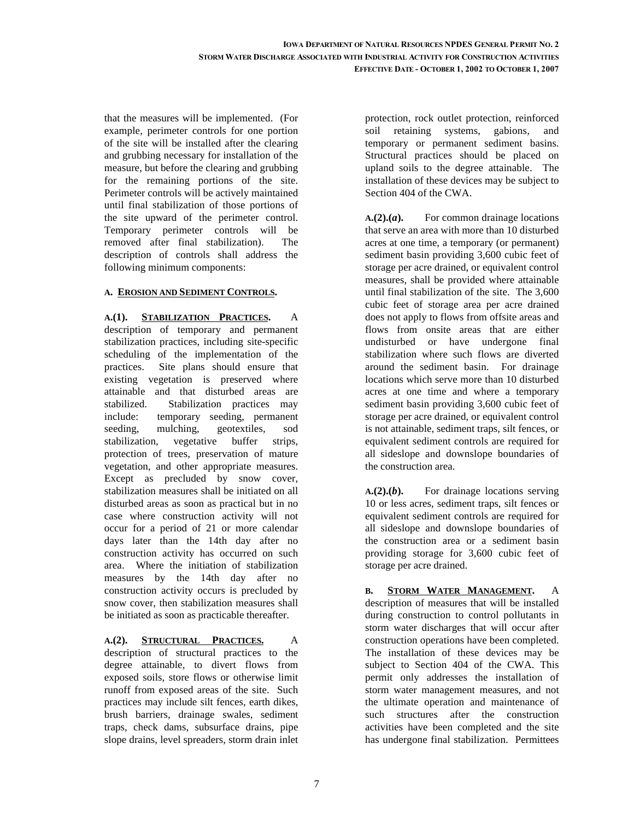that the measures will be implemented. (For example, perimeter controls for one portion of the site will be installed after the clearing and grubbing necessary for installation of the measure, but before the clearing and grubbing for the remaining portions of the site. Perimeter controls will be actively maintained until final stabilization of those portions of the site upward of the perimeter control. Temporary perimeter controls will be removed after final stabilization). The description of controls shall address the following minimum components:

#### **A. EROSION AND SEDIMENT CONTROLS.**

**A.(1). STABILIZATION PRACTICES.** A description of temporary and permanent stabilization practices, including site-specific scheduling of the implementation of the practices. Site plans should ensure that existing vegetation is preserved where attainable and that disturbed areas are stabilized. Stabilization practices may include: temporary seeding, permanent seeding, mulching, geotextiles, sod stabilization, vegetative buffer strips, protection of trees, preservation of mature vegetation, and other appropriate measures. Except as precluded by snow cover, stabilization measures shall be initiated on all disturbed areas as soon as practical but in no case where construction activity will not occur for a period of 21 or more calendar days later than the 14th day after no construction activity has occurred on such area. Where the initiation of stabilization measures by the 14th day after no construction activity occurs is precluded by snow cover, then stabilization measures shall be initiated as soon as practicable thereafter.

**A.(2). STRUCTURAL PRACTICES.** A description of structural practices to the degree attainable, to divert flows from exposed soils, store flows or otherwise limit runoff from exposed areas of the site. Such practices may include silt fences, earth dikes, brush barriers, drainage swales, sediment traps, check dams, subsurface drains, pipe slope drains, level spreaders, storm drain inlet

protection, rock outlet protection, reinforced soil retaining systems, gabions, and temporary or permanent sediment basins. Structural practices should be placed on upland soils to the degree attainable. The installation of these devices may be subject to Section 404 of the CWA.

**A.(2).(***a***).** For common drainage locations that serve an area with more than 10 disturbed acres at one time, a temporary (or permanent) sediment basin providing 3,600 cubic feet of storage per acre drained, or equivalent control measures, shall be provided where attainable until final stabilization of the site. The 3,600 cubic feet of storage area per acre drained does not apply to flows from offsite areas and flows from onsite areas that are either undisturbed or have undergone final stabilization where such flows are diverted around the sediment basin. For drainage locations which serve more than 10 disturbed acres at one time and where a temporary sediment basin providing 3,600 cubic feet of storage per acre drained, or equivalent control is not attainable, sediment traps, silt fences, or equivalent sediment controls are required for all sideslope and downslope boundaries of the construction area.

**A.(2).(***b***).** For drainage locations serving 10 or less acres, sediment traps, silt fences or equivalent sediment controls are required for all sideslope and downslope boundaries of the construction area or a sediment basin providing storage for 3,600 cubic feet of storage per acre drained.

**B. STORM WATER MANAGEMENT.** A description of measures that will be installed during construction to control pollutants in storm water discharges that will occur after construction operations have been completed. The installation of these devices may be subject to Section 404 of the CWA. This permit only addresses the installation of storm water management measures, and not the ultimate operation and maintenance of such structures after the construction activities have been completed and the site has undergone final stabilization. Permittees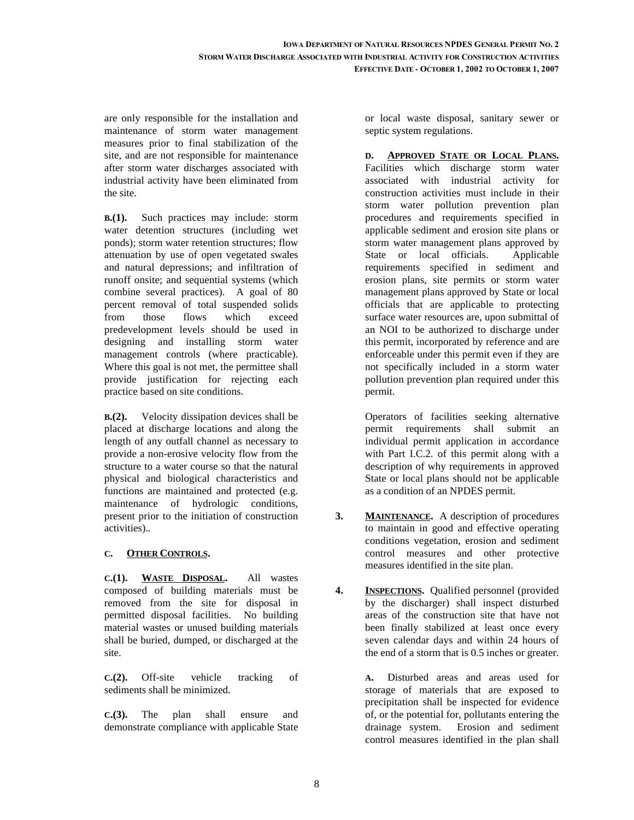are only responsible for the installation and maintenance of storm water management measures prior to final stabilization of the site, and are not responsible for maintenance after storm water discharges associated with industrial activity have been eliminated from the site.

**B.(1).** Such practices may include: storm water detention structures (including wet ponds); storm water retention structures; flow attenuation by use of open vegetated swales and natural depressions; and infiltration of runoff onsite; and sequential systems (which combine several practices). A goal of 80 percent removal of total suspended solids from those flows which exceed predevelopment levels should be used in designing and installing storm water management controls (where practicable). Where this goal is not met, the permittee shall provide justification for rejecting each practice based on site conditions.

**B.(2).** Velocity dissipation devices shall be placed at discharge locations and along the length of any outfall channel as necessary to provide a non-erosive velocity flow from the structure to a water course so that the natural physical and biological characteristics and functions are maintained and protected (e.g. maintenance of hydrologic conditions, present prior to the initiation of construction activities)..

# **C. OTHER CONTROLS.**

**C.(1). WASTE DISPOSAL.** All wastes composed of building materials must be removed from the site for disposal in permitted disposal facilities. No building material wastes or unused building materials shall be buried, dumped, or discharged at the site.

**C.(2).** Off-site vehicle tracking of sediments shall be minimized.

**C.(3).** The plan shall ensure and demonstrate compliance with applicable State or local waste disposal, sanitary sewer or septic system regulations.

**D. APPROVED STATE OR LOCAL PLANS.** Facilities which discharge storm water associated with industrial activity for construction activities must include in their storm water pollution prevention plan procedures and requirements specified in applicable sediment and erosion site plans or storm water management plans approved by State or local officials. Applicable requirements specified in sediment and erosion plans, site permits or storm water management plans approved by State or local officials that are applicable to protecting surface water resources are, upon submittal of an NOI to be authorized to discharge under this permit, incorporated by reference and are enforceable under this permit even if they are not specifically included in a storm water pollution prevention plan required under this permit.

Operators of facilities seeking alternative permit requirements shall submit an individual permit application in accordance with Part I.C.2. of this permit along with a description of why requirements in approved State or local plans should not be applicable as a condition of an NPDES permit.

- **3. MAINTENANCE.** A description of procedures to maintain in good and effective operating conditions vegetation, erosion and sediment control measures and other protective measures identified in the site plan.
- **4. INSPECTIONS.** Qualified personnel (provided by the discharger) shall inspect disturbed areas of the construction site that have not been finally stabilized at least once every seven calendar days and within 24 hours of the end of a storm that is 0.5 inches or greater.

**A.** Disturbed areas and areas used for storage of materials that are exposed to precipitation shall be inspected for evidence of, or the potential for, pollutants entering the drainage system. Erosion and sediment control measures identified in the plan shall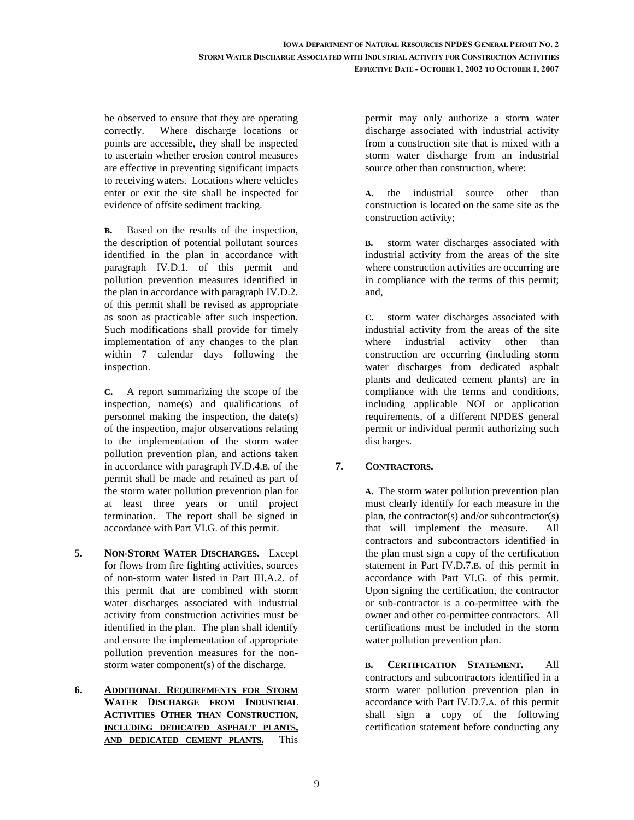be observed to ensure that they are operating correctly. Where discharge locations or points are accessible, they shall be inspected to ascertain whether erosion control measures are effective in preventing significant impacts to receiving waters. Locations where vehicles enter or exit the site shall be inspected for evidence of offsite sediment tracking.

**B.** Based on the results of the inspection, the description of potential pollutant sources identified in the plan in accordance with paragraph IV.D.1. of this permit and pollution prevention measures identified in the plan in accordance with paragraph IV.D.2. of this permit shall be revised as appropriate as soon as practicable after such inspection. Such modifications shall provide for timely implementation of any changes to the plan within 7 calendar days following the inspection.

**C.** A report summarizing the scope of the inspection, name(s) and qualifications of personnel making the inspection, the date(s) of the inspection, major observations relating to the implementation of the storm water pollution prevention plan, and actions taken in accordance with paragraph IV.D.4.B. of the permit shall be made and retained as part of the storm water pollution prevention plan for at least three years or until project termination. The report shall be signed in accordance with Part VI.G. of this permit.

- **5. NON-STORM WATER DISCHARGES.** Except for flows from fire fighting activities, sources of non-storm water listed in Part III.A.2. of this permit that are combined with storm water discharges associated with industrial activity from construction activities must be identified in the plan. The plan shall identify and ensure the implementation of appropriate pollution prevention measures for the nonstorm water component(s) of the discharge.
- **6. ADDITIONAL REQUIREMENTS FOR STORM WATER DISCHARGE FROM INDUSTRIAL ACTIVITIES OTHER THAN CONSTRUCTION, INCLUDING DEDICATED ASPHALT PLANTS, AND DEDICATED CEMENT PLANTS.** This

permit may only authorize a storm water discharge associated with industrial activity from a construction site that is mixed with a storm water discharge from an industrial source other than construction, where:

**A.** the industrial source other than construction is located on the same site as the construction activity;

**B.** storm water discharges associated with industrial activity from the areas of the site where construction activities are occurring are in compliance with the terms of this permit; and,

**C.** storm water discharges associated with industrial activity from the areas of the site where industrial activity other than construction are occurring (including storm water discharges from dedicated asphalt plants and dedicated cement plants) are in compliance with the terms and conditions, including applicable NOI or application requirements, of a different NPDES general permit or individual permit authorizing such discharges.

# **7. CONTRACTORS.**

**A.** The storm water pollution prevention plan must clearly identify for each measure in the plan, the contractor(s) and/or subcontractor(s) that will implement the measure. All contractors and subcontractors identified in the plan must sign a copy of the certification statement in Part IV.D.7.B. of this permit in accordance with Part VI.G. of this permit. Upon signing the certification, the contractor or sub-contractor is a co-permittee with the owner and other co-permittee contractors. All certifications must be included in the storm water pollution prevention plan.

**B. CERTIFICATION STATEMENT.** All contractors and subcontractors identified in a storm water pollution prevention plan in accordance with Part IV.D.7.A. of this permit shall sign a copy of the following certification statement before conducting any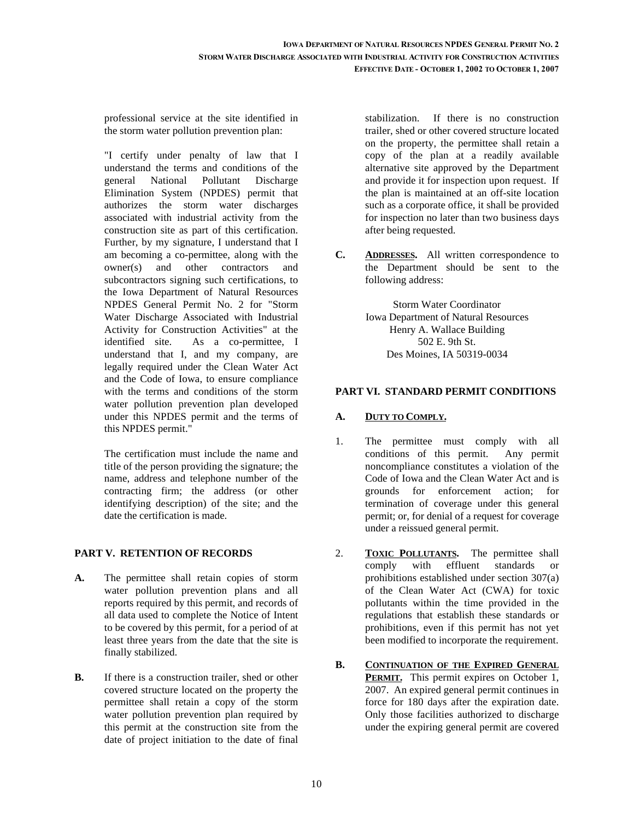professional service at the site identified in the storm water pollution prevention plan:

"I certify under penalty of law that I understand the terms and conditions of the general National Pollutant Discharge Elimination System (NPDES) permit that authorizes the storm water discharges associated with industrial activity from the construction site as part of this certification. Further, by my signature, I understand that I am becoming a co-permittee, along with the owner(s) and other contractors and subcontractors signing such certifications, to the Iowa Department of Natural Resources NPDES General Permit No. 2 for "Storm Water Discharge Associated with Industrial Activity for Construction Activities" at the identified site. As a co-permittee, I understand that I, and my company, are legally required under the Clean Water Act and the Code of Iowa, to ensure compliance with the terms and conditions of the storm water pollution prevention plan developed under this NPDES permit and the terms of this NPDES permit."

The certification must include the name and title of the person providing the signature; the name, address and telephone number of the contracting firm; the address (or other identifying description) of the site; and the date the certification is made.

# **PART V. RETENTION OF RECORDS**

- **A.** The permittee shall retain copies of storm water pollution prevention plans and all reports required by this permit, and records of all data used to complete the Notice of Intent to be covered by this permit, for a period of at least three years from the date that the site is finally stabilized.
- **B.** If there is a construction trailer, shed or other covered structure located on the property the permittee shall retain a copy of the storm water pollution prevention plan required by this permit at the construction site from the date of project initiation to the date of final

stabilization. If there is no construction trailer, shed or other covered structure located on the property, the permittee shall retain a copy of the plan at a readily available alternative site approved by the Department and provide it for inspection upon request. If the plan is maintained at an off-site location such as a corporate office, it shall be provided for inspection no later than two business days after being requested.

**C. ADDRESSES.** All written correspondence to the Department should be sent to the following address:

> Storm Water Coordinator Iowa Department of Natural Resources Henry A. Wallace Building 502 E. 9th St. Des Moines, IA 50319-0034

#### **PART VI. STANDARD PERMIT CONDITIONS**

# **A. DUTY TO COMPLY.**

- 1. The permittee must comply with all conditions of this permit. Any permit noncompliance constitutes a violation of the Code of Iowa and the Clean Water Act and is grounds for enforcement action; for termination of coverage under this general permit; or, for denial of a request for coverage under a reissued general permit.
- 2. **TOXIC POLLUTANTS.** The permittee shall comply with effluent standards or prohibitions established under section 307(a) of the Clean Water Act (CWA) for toxic pollutants within the time provided in the regulations that establish these standards or prohibitions, even if this permit has not yet been modified to incorporate the requirement.
- **B. CONTINUATION OF THE EXPIRED GENERAL PERMIT.** This permit expires on October 1, 2007. An expired general permit continues in force for 180 days after the expiration date. Only those facilities authorized to discharge under the expiring general permit are covered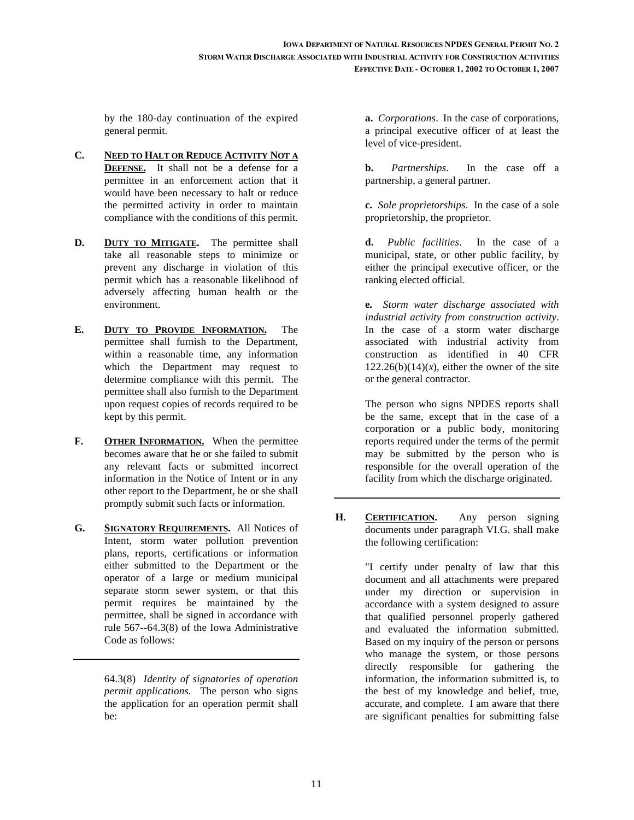by the 180-day continuation of the expired general permit.

- **C. NEED TO HALT OR REDUCE ACTIVITY NOT A DEFENSE.** It shall not be a defense for a permittee in an enforcement action that it would have been necessary to halt or reduce the permitted activity in order to maintain compliance with the conditions of this permit.
- **D. DUTY TO MITIGATE.** The permittee shall take all reasonable steps to minimize or prevent any discharge in violation of this permit which has a reasonable likelihood of adversely affecting human health or the environment.
- **E. DUTY TO PROVIDE INFORMATION.** The permittee shall furnish to the Department, within a reasonable time, any information which the Department may request to determine compliance with this permit. The permittee shall also furnish to the Department upon request copies of records required to be kept by this permit.
- **F. OTHER INFORMATION.** When the permittee becomes aware that he or she failed to submit any relevant facts or submitted incorrect information in the Notice of Intent or in any other report to the Department, he or she shall promptly submit such facts or information.
- **G. SIGNATORY REQUIREMENTS.** All Notices of Intent, storm water pollution prevention plans, reports, certifications or information either submitted to the Department or the operator of a large or medium municipal separate storm sewer system, or that this permit requires be maintained by the permittee, shall be signed in accordance with rule 567--64.3(8) of the Iowa Administrative Code as follows:

64.3(8) *Identity of signatories of operation permit applications.* The person who signs the application for an operation permit shall be:

**a.** *Corporations*. In the case of corporations, a principal executive officer of at least the level of vice-president.

**b.** *Partnerships*. In the case off a partnership, a general partner.

**c.** *Sole proprietorships*. In the case of a sole proprietorship, the proprietor.

**d.** *Public facilities*. In the case of a municipal, state, or other public facility, by either the principal executive officer, or the ranking elected official.

**e.** *Storm water discharge associated with industrial activity from construction activity*. In the case of a storm water discharge associated with industrial activity from construction as identified in 40 CFR  $122.26(b)(14)(x)$ , either the owner of the site or the general contractor.

The person who signs NPDES reports shall be the same, except that in the case of a corporation or a public body, monitoring reports required under the terms of the permit may be submitted by the person who is responsible for the overall operation of the facility from which the discharge originated.

H. **CERTIFICATION.** Any person signing documents under paragraph VI.G. shall make the following certification:

> "I certify under penalty of law that this document and all attachments were prepared under my direction or supervision in accordance with a system designed to assure that qualified personnel properly gathered and evaluated the information submitted. Based on my inquiry of the person or persons who manage the system, or those persons directly responsible for gathering the information, the information submitted is, to the best of my knowledge and belief, true, accurate, and complete. I am aware that there are significant penalties for submitting false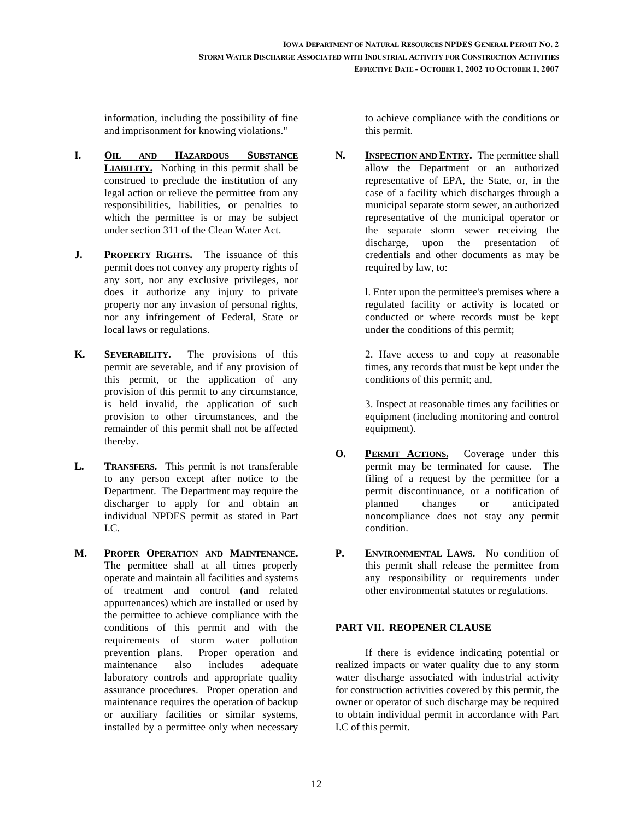information, including the possibility of fine and imprisonment for knowing violations."

- **I. OIL AND HAZARDOUS SUBSTANCE LIABILITY.** Nothing in this permit shall be construed to preclude the institution of any legal action or relieve the permittee from any responsibilities, liabilities, or penalties to which the permittee is or may be subject under section 311 of the Clean Water Act.
- **J. PROPERTY RIGHTS.** The issuance of this permit does not convey any property rights of any sort, nor any exclusive privileges, nor does it authorize any injury to private property nor any invasion of personal rights, nor any infringement of Federal, State or local laws or regulations.
- **K. SEVERABILITY.** The provisions of this permit are severable, and if any provision of this permit, or the application of any provision of this permit to any circumstance, is held invalid, the application of such provision to other circumstances, and the remainder of this permit shall not be affected thereby.
- **L. TRANSFERS.** This permit is not transferable to any person except after notice to the Department. The Department may require the discharger to apply for and obtain an individual NPDES permit as stated in Part I.C.
- **M. PROPER OPERATION AND MAINTENANCE.** The permittee shall at all times properly operate and maintain all facilities and systems of treatment and control (and related appurtenances) which are installed or used by the permittee to achieve compliance with the conditions of this permit and with the requirements of storm water pollution prevention plans. Proper operation and maintenance also includes adequate laboratory controls and appropriate quality assurance procedures. Proper operation and maintenance requires the operation of backup or auxiliary facilities or similar systems, installed by a permittee only when necessary

to achieve compliance with the conditions or this permit.

**N. INSPECTION AND ENTRY.** The permittee shall allow the Department or an authorized representative of EPA, the State, or, in the case of a facility which discharges through a municipal separate storm sewer, an authorized representative of the municipal operator or the separate storm sewer receiving the discharge, upon the presentation of credentials and other documents as may be required by law, to:

> l. Enter upon the permittee's premises where a regulated facility or activity is located or conducted or where records must be kept under the conditions of this permit;

> 2. Have access to and copy at reasonable times, any records that must be kept under the conditions of this permit; and,

> 3. Inspect at reasonable times any facilities or equipment (including monitoring and control equipment).

- **O. PERMIT ACTIONS.** Coverage under this permit may be terminated for cause. The filing of a request by the permittee for a permit discontinuance, or a notification of planned changes or anticipated noncompliance does not stay any permit condition.
- **P. ENVIRONMENTAL LAWS.** No condition of this permit shall release the permittee from any responsibility or requirements under other environmental statutes or regulations.

# **PART VII. REOPENER CLAUSE**

If there is evidence indicating potential or realized impacts or water quality due to any storm water discharge associated with industrial activity for construction activities covered by this permit, the owner or operator of such discharge may be required to obtain individual permit in accordance with Part I.C of this permit.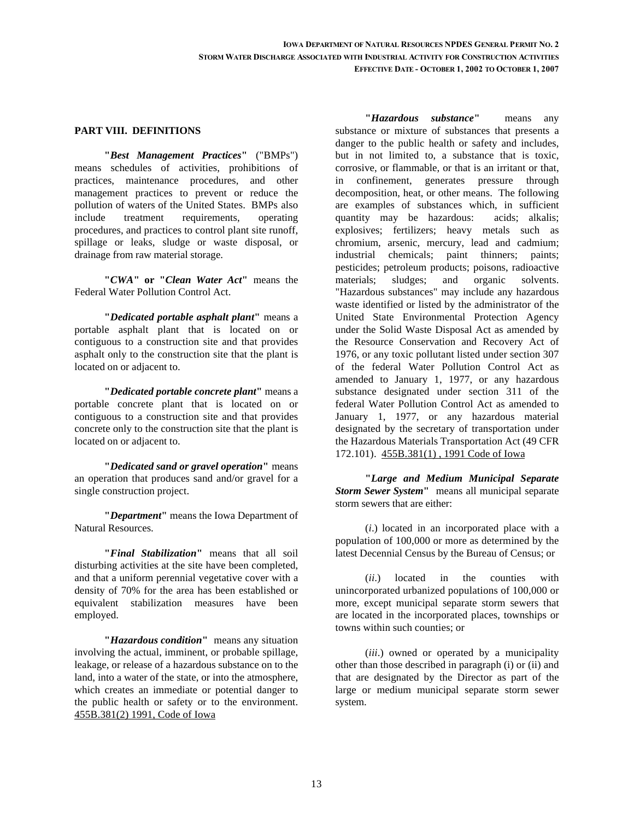#### **PART VIII. DEFINITIONS**

**"***Best Management Practices***"** ("BMPs") means schedules of activities, prohibitions of practices, maintenance procedures, and other management practices to prevent or reduce the pollution of waters of the United States. BMPs also include treatment requirements, operating procedures, and practices to control plant site runoff, spillage or leaks, sludge or waste disposal, or drainage from raw material storage.

**"***CWA***" or "***Clean Water Act***"** means the Federal Water Pollution Control Act.

**"***Dedicated portable asphalt plant***"** means a portable asphalt plant that is located on or contiguous to a construction site and that provides asphalt only to the construction site that the plant is located on or adjacent to.

**"***Dedicated portable concrete plant***"** means a portable concrete plant that is located on or contiguous to a construction site and that provides concrete only to the construction site that the plant is located on or adjacent to.

**"***Dedicated sand or gravel operation***"** means an operation that produces sand and/or gravel for a single construction project.

**"***Department***"** means the Iowa Department of Natural Resources.

**"***Final Stabilization***"** means that all soil disturbing activities at the site have been completed, and that a uniform perennial vegetative cover with a density of 70% for the area has been established or equivalent stabilization measures have been employed.

**"***Hazardous condition***"** means any situation involving the actual, imminent, or probable spillage, leakage, or release of a hazardous substance on to the land, into a water of the state, or into the atmosphere, which creates an immediate or potential danger to the public health or safety or to the environment. 455B.381(2) 1991, Code of Iowa

**"***Hazardous substance***"** means any substance or mixture of substances that presents a danger to the public health or safety and includes, but in not limited to, a substance that is toxic, corrosive, or flammable, or that is an irritant or that, in confinement, generates pressure through decomposition, heat, or other means. The following are examples of substances which, in sufficient quantity may be hazardous: acids; alkalis; explosives; fertilizers; heavy metals such as chromium, arsenic, mercury, lead and cadmium; industrial chemicals; paint thinners; paints; pesticides; petroleum products; poisons, radioactive materials; sludges; and organic solvents. "Hazardous substances" may include any hazardous waste identified or listed by the administrator of the United State Environmental Protection Agency under the Solid Waste Disposal Act as amended by the Resource Conservation and Recovery Act of 1976, or any toxic pollutant listed under section 307 of the federal Water Pollution Control Act as amended to January 1, 1977, or any hazardous substance designated under section 311 of the federal Water Pollution Control Act as amended to January 1, 1977, or any hazardous material designated by the secretary of transportation under the Hazardous Materials Transportation Act (49 CFR 172.101). 455B.381(1) , 1991 Code of Iowa

**"***Large and Medium Municipal Separate Storm Sewer System***"** means all municipal separate storm sewers that are either:

(*i*.) located in an incorporated place with a population of 100,000 or more as determined by the latest Decennial Census by the Bureau of Census; or

(*ii*.) located in the counties with unincorporated urbanized populations of 100,000 or more, except municipal separate storm sewers that are located in the incorporated places, townships or towns within such counties; or

(*iii*.) owned or operated by a municipality other than those described in paragraph (i) or (ii) and that are designated by the Director as part of the large or medium municipal separate storm sewer system.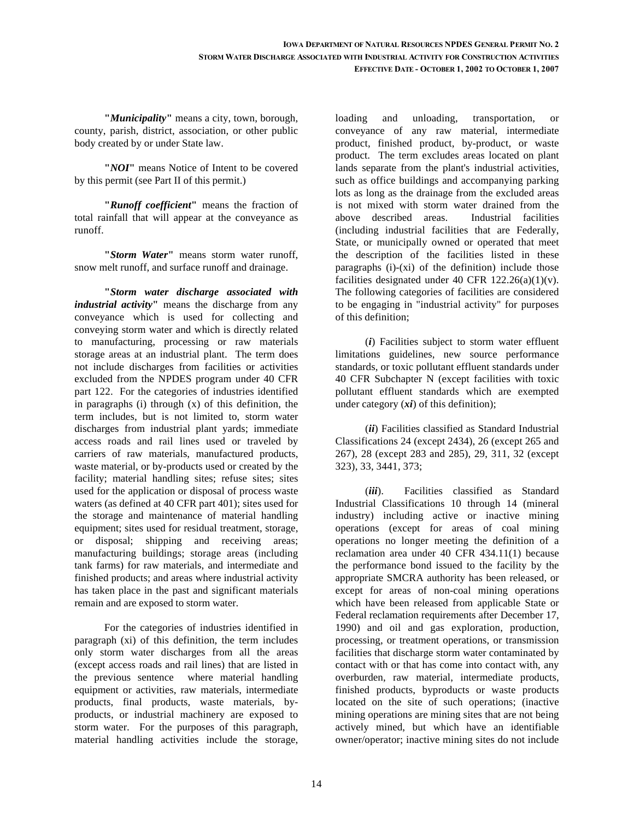**"***Municipality***"** means a city, town, borough, county, parish, district, association, or other public body created by or under State law.

**"***NOI***"** means Notice of Intent to be covered by this permit (see Part II of this permit.)

**"***Runoff coefficient***"** means the fraction of total rainfall that will appear at the conveyance as runoff.

**"***Storm Water***"** means storm water runoff, snow melt runoff, and surface runoff and drainage.

**"***Storm water discharge associated with industrial activity***"** means the discharge from any conveyance which is used for collecting and conveying storm water and which is directly related to manufacturing, processing or raw materials storage areas at an industrial plant. The term does not include discharges from facilities or activities excluded from the NPDES program under 40 CFR part 122. For the categories of industries identified in paragraphs  $(i)$  through  $(x)$  of this definition, the term includes, but is not limited to, storm water discharges from industrial plant yards; immediate access roads and rail lines used or traveled by carriers of raw materials, manufactured products, waste material, or by-products used or created by the facility; material handling sites; refuse sites; sites used for the application or disposal of process waste waters (as defined at 40 CFR part 401); sites used for the storage and maintenance of material handling equipment; sites used for residual treatment, storage, or disposal; shipping and receiving areas; manufacturing buildings; storage areas (including tank farms) for raw materials, and intermediate and finished products; and areas where industrial activity has taken place in the past and significant materials remain and are exposed to storm water.

For the categories of industries identified in paragraph (xi) of this definition, the term includes only storm water discharges from all the areas (except access roads and rail lines) that are listed in the previous sentence where material handling equipment or activities, raw materials, intermediate products, final products, waste materials, byproducts, or industrial machinery are exposed to storm water. For the purposes of this paragraph, material handling activities include the storage,

loading and unloading, transportation, or conveyance of any raw material, intermediate product, finished product, by-product, or waste product. The term excludes areas located on plant lands separate from the plant's industrial activities, such as office buildings and accompanying parking lots as long as the drainage from the excluded areas is not mixed with storm water drained from the above described areas. Industrial facilities (including industrial facilities that are Federally, State, or municipally owned or operated that meet the description of the facilities listed in these paragraphs (i)-(xi) of the definition) include those facilities designated under 40 CFR  $122.26(a)(1)(v)$ . The following categories of facilities are considered to be engaging in "industrial activity" for purposes of this definition;

(*i*) Facilities subject to storm water effluent limitations guidelines, new source performance standards, or toxic pollutant effluent standards under 40 CFR Subchapter N (except facilities with toxic pollutant effluent standards which are exempted under category (*xi*) of this definition);

(*ii*) Facilities classified as Standard Industrial Classifications 24 (except 2434), 26 (except 265 and 267), 28 (except 283 and 285), 29, 311, 32 (except 323), 33, 3441, 373;

(*iii*). Facilities classified as Standard Industrial Classifications 10 through 14 (mineral industry) including active or inactive mining operations (except for areas of coal mining operations no longer meeting the definition of a reclamation area under 40 CFR 434.11(1) because the performance bond issued to the facility by the appropriate SMCRA authority has been released, or except for areas of non-coal mining operations which have been released from applicable State or Federal reclamation requirements after December 17, 1990) and oil and gas exploration, production, processing, or treatment operations, or transmission facilities that discharge storm water contaminated by contact with or that has come into contact with, any overburden, raw material, intermediate products, finished products, byproducts or waste products located on the site of such operations; (inactive mining operations are mining sites that are not being actively mined, but which have an identifiable owner/operator; inactive mining sites do not include